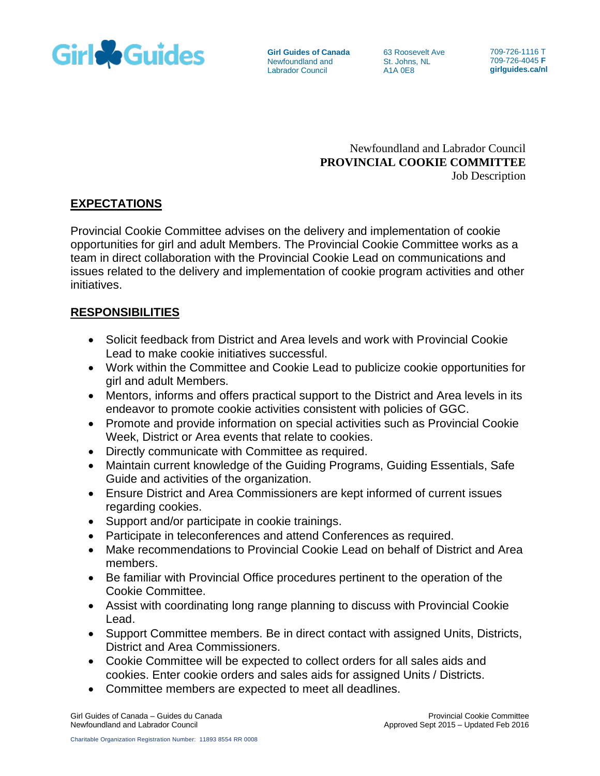

**Girl Guides of Canada** Newfoundland and Labrador Council

63 Roosevelt Ave St. Johns, NL A1A 0E8

709-726-1116 T 709-726-4045 **F girlguides.ca/nl**

Newfoundland and Labrador Council **PROVINCIAL COOKIE COMMITTEE** Job Description

# **EXPECTATIONS**

Provincial Cookie Committee advises on the delivery and implementation of cookie opportunities for girl and adult Members. The Provincial Cookie Committee works as a team in direct collaboration with the Provincial Cookie Lead on communications and issues related to the delivery and implementation of cookie program activities and other initiatives.

# **RESPONSIBILITIES**

- Solicit feedback from District and Area levels and work with Provincial Cookie Lead to make cookie initiatives successful.
- Work within the Committee and Cookie Lead to publicize cookie opportunities for girl and adult Members.
- Mentors, informs and offers practical support to the District and Area levels in its endeavor to promote cookie activities consistent with policies of GGC.
- Promote and provide information on special activities such as Provincial Cookie Week, District or Area events that relate to cookies.
- Directly communicate with Committee as required.
- Maintain current knowledge of the Guiding Programs, Guiding Essentials, Safe Guide and activities of the organization.
- Ensure District and Area Commissioners are kept informed of current issues regarding cookies.
- Support and/or participate in cookie trainings.
- Participate in teleconferences and attend Conferences as required.
- Make recommendations to Provincial Cookie Lead on behalf of District and Area members.
- Be familiar with Provincial Office procedures pertinent to the operation of the Cookie Committee.
- Assist with coordinating long range planning to discuss with Provincial Cookie Lead.
- Support Committee members. Be in direct contact with assigned Units, Districts, District and Area Commissioners.
- Cookie Committee will be expected to collect orders for all sales aids and cookies. Enter cookie orders and sales aids for assigned Units / Districts.
- Committee members are expected to meet all deadlines.